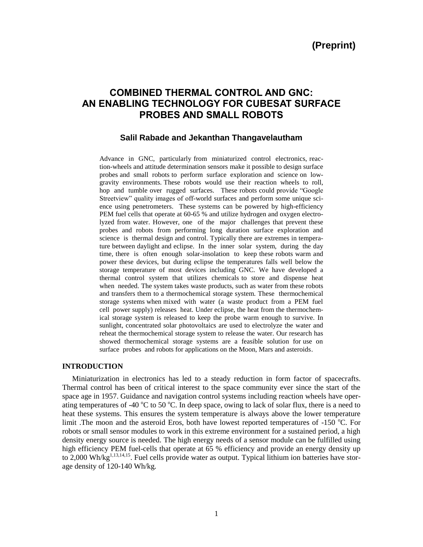# **COMBINED THERMAL CONTROL AND GNC: AN ENABLING TECHNOLOGY FOR CUBESAT SURFACE PROBES AND SMALL ROBOTS**

# **Salil Rabade and Jekanthan Thangavelautham**

Advance in GNC, particularly from miniaturized control electronics, reaction-wheels and attitude determination sensors make it possible to design surface probes and small robots to perform surface exploration and science on lowgravity environments. These robots would use their reaction wheels to roll, hop and tumble over rugged surfaces. These robots could provide "Google Streetview" quality images of off-world surfaces and perform some unique science using penetrometers. These systems can be powered by high-efficiency PEM fuel cells that operate at 60-65 % and utilize hydrogen and oxygen electrolyzed from water. However, one of the major challenges that prevent these probes and robots from performing long duration surface exploration and science is thermal design and control. Typically there are extremes in temperature between daylight and eclipse. In the inner solar system, during the day time, there is often enough solar-insolation to keep these robots warm and power these devices, but during eclipse the temperatures falls well below the storage temperature of most devices including GNC. We have developed a thermal control system that utilizes chemicals to store and dispense heat when needed. The system takes waste products, such as water from these robots and transfers them to a thermochemical storage system. These thermochemical storage systems when mixed with water (a waste product from a PEM fuel cell power supply) releases heat. Under eclipse, the heat from the thermochemical storage system is released to keep the probe warm enough to survive. In sunlight, concentrated solar photovoltaics are used to electrolyze the water and reheat the thermochemical storage system to release the water. Our research has showed thermochemical storage systems are a feasible solution for use on surface probes and robots for applications on the Moon, Mars and asteroids.

#### **INTRODUCTION**

Miniaturization in electronics has led to a steady reduction in form factor of spacecrafts. Thermal control has been of critical interest to the space community ever since the start of the space age in 1957. Guidance and navigation control systems including reaction wheels have operating temperatures of -40  $\degree$ C to 50  $\degree$ C. In deep space, owing to lack of solar flux, there is a need to heat these systems. This ensures the system temperature is always above the lower temperature limit .The moon and the asteroid Eros, both have lowest reported temperatures of  $-150$  °C. For robots or small sensor modules to work in this extreme environment for a sustained period, a high density energy source is needed. The high energy needs of a sensor module can be fulfilled using high efficiency PEM fuel-cells that operate at 65 % efficiency and provide an energy density up to 2,000 Wh/kg<sup>1,13,14,15</sup>. Fuel cells provide water as output. Typical lithium ion batteries have storage density of 120-140 Wh/kg.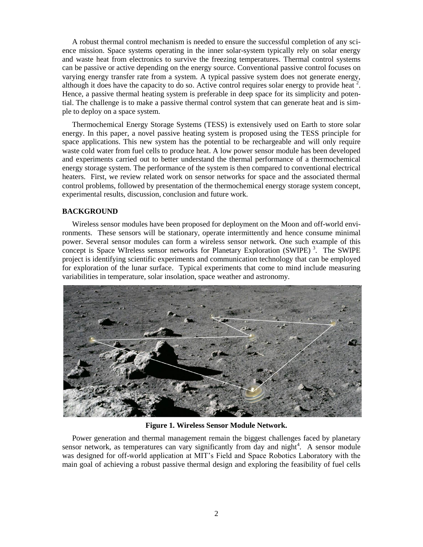A robust thermal control mechanism is needed to ensure the successful completion of any science mission. Space systems operating in the inner solar-system typically rely on solar energy and waste heat from electronics to survive the freezing temperatures. Thermal control systems can be passive or active depending on the energy source. Conventional passive control focuses on varying energy transfer rate from a system. A typical passive system does not generate energy, although it does have the capacity to do so. Active control requires solar energy to provide heat<sup>2</sup>. Hence, a passive thermal heating system is preferable in deep space for its simplicity and potential. The challenge is to make a passive thermal control system that can generate heat and is simple to deploy on a space system.

Thermochemical Energy Storage Systems (TESS) is extensively used on Earth to store solar energy. In this paper, a novel passive heating system is proposed using the TESS principle for space applications. This new system has the potential to be rechargeable and will only require waste cold water from fuel cells to produce heat. A low power sensor module has been developed and experiments carried out to better understand the thermal performance of a thermochemical energy storage system. The performance of the system is then compared to conventional electrical heaters. First, we review related work on sensor networks for space and the associated thermal control problems, followed by presentation of the thermochemical energy storage system concept, experimental results, discussion, conclusion and future work.

## **BACKGROUND**

Wireless sensor modules have been proposed for deployment on the Moon and off-world environments. These sensors will be stationary, operate intermittently and hence consume minimal power. Several sensor modules can form a wireless sensor network. One such example of this concept is Space WIreless sensor networks for Planetary Exploration (SWIPE)<sup>3</sup>. The SWIPE project is identifying scientific experiments and communication technology that can be employed for exploration of the lunar surface. Typical experiments that come to mind include measuring variabilities in temperature, solar insolation, space weather and astronomy.



**Figure 1. Wireless Sensor Module Network.**

Power generation and thermal management remain the biggest challenges faced by planetary sensor network, as temperatures can vary significantly from day and night<sup>4</sup>. A sensor module was designed for off-world application at MIT's Field and Space Robotics Laboratory with the main goal of achieving a robust passive thermal design and exploring the feasibility of fuel cells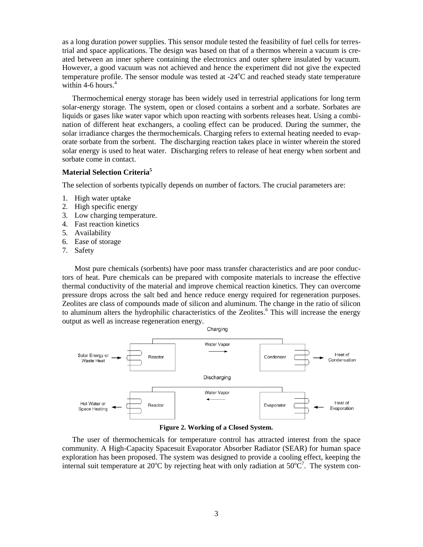as a long duration power supplies. This sensor module tested the feasibility of fuel cells for terrestrial and space applications. The design was based on that of a thermos wherein a vacuum is created between an inner sphere containing the electronics and outer sphere insulated by vacuum. However, a good vacuum was not achieved and hence the experiment did not give the expected temperature profile. The sensor module was tested at  $-24^{\circ}$ C and reached steady state temperature within 4-6 hours.<sup>4</sup>

Thermochemical energy storage has been widely used in terrestrial applications for long term solar-energy storage. The system, open or closed contains a sorbent and a sorbate. Sorbates are liquids or gases like water vapor which upon reacting with sorbents releases heat. Using a combination of different heat exchangers, a cooling effect can be produced. During the summer, the solar irradiance charges the thermochemicals. Charging refers to external heating needed to evaporate sorbate from the sorbent. The discharging reaction takes place in winter wherein the stored solar energy is used to heat water. Discharging refers to release of heat energy when sorbent and sorbate come in contact.

## **Material Selection Criteria<sup>5</sup>**

The selection of sorbents typically depends on number of factors. The crucial parameters are:

- 1. High water uptake
- 2. High specific energy
- 3. Low charging temperature.
- 4. Fast reaction kinetics
- 5. Availability
- 6. Ease of storage
- 7. Safety

Most pure chemicals (sorbents) have poor mass transfer characteristics and are poor conductors of heat. Pure chemicals can be prepared with composite materials to increase the effective thermal conductivity of the material and improve chemical reaction kinetics. They can overcome pressure drops across the salt bed and hence reduce energy required for regeneration purposes. Zeolites are class of compounds made of silicon and aluminum. The change in the ratio of silicon to aluminum alters the hydrophilic characteristics of the Zeolites. <sup>6</sup> This will increase the energy output as well as increase regeneration energy.



**Figure 2. Working of a Closed System.**

The user of thermochemicals for temperature control has attracted interest from the space community. A High-Capacity Spacesuit Evaporator Absorber Radiator (SEAR) for human space exploration has been proposed. The system was designed to provide a cooling effect, keeping the internal suit temperature at 20 $^{\circ}$ C by rejecting heat with only radiation at 50 $^{\circ}$ C<sup>7</sup>. The system con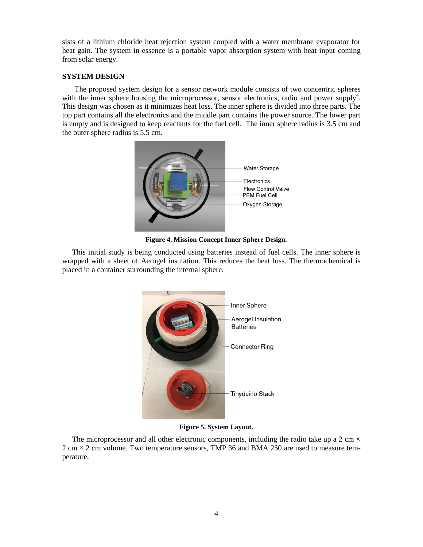sists of a lithium chloride heat rejection system coupled with a water membrane evaporator for heat gain. The system in essence is a portable vapor absorption system with heat input coming from solar energy.

# **SYSTEM DESIGN**

The proposed system design for a sensor network module consists of two concentric spheres with the inner sphere housing the microprocessor, sensor electronics, radio and power supply<sup>4</sup>. This design was chosen as it minimizes heat loss. The inner sphere is divided into three parts. The top part contains all the electronics and the middle part contains the power source. The lower part is empty and is designed to keep reactants for the fuel cell. The inner sphere radius is 3.5 cm and the outer sphere radius is 5.5 cm.



**Figure 4. Mission Concept Inner Sphere Design.**

This initial study is being conducted using batteries instead of fuel cells. The inner sphere is wrapped with a sheet of Aerogel insulation. This reduces the heat loss. The thermochemical is placed in a container surrounding the internal sphere.



**Figure 5. System Layout.**

The microprocessor and all other electronic components, including the radio take up a 2 cm  $\times$  $2 \text{ cm} \times 2 \text{ cm}$  volume. Two temperature sensors, TMP 36 and BMA 250 are used to measure temperature.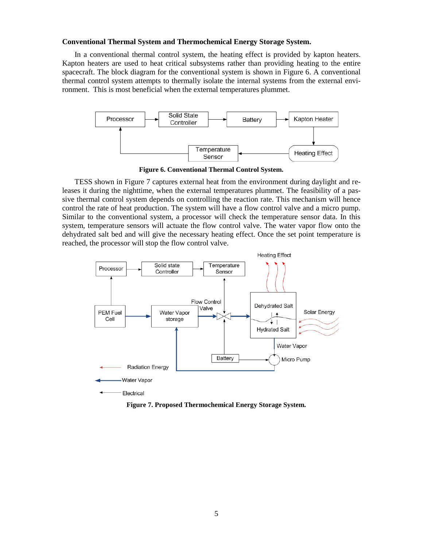#### **Conventional Thermal System and Thermochemical Energy Storage System.**

In a conventional thermal control system, the heating effect is provided by kapton heaters. Kapton heaters are used to heat critical subsystems rather than providing heating to the entire spacecraft. The block diagram for the conventional system is shown in Figure 6. A conventional thermal control system attempts to thermally isolate the internal systems from the external environment. This is most beneficial when the external temperatures plummet.



**Figure 6. Conventional Thermal Control System.**

TESS shown in Figure 7 captures external heat from the environment during daylight and releases it during the nighttime, when the external temperatures plummet. The feasibility of a passive thermal control system depends on controlling the reaction rate. This mechanism will hence control the rate of heat production. The system will have a flow control valve and a micro pump. Similar to the conventional system, a processor will check the temperature sensor data. In this system, temperature sensors will actuate the flow control valve. The water vapor flow onto the dehydrated salt bed and will give the necessary heating effect. Once the set point temperature is reached, the processor will stop the flow control valve.



**Figure 7. Proposed Thermochemical Energy Storage System.**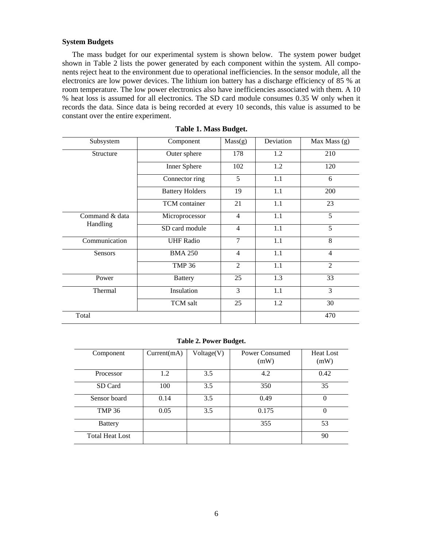## **System Budgets**

The mass budget for our experimental system is shown below. The system power budget shown in Table 2 lists the power generated by each component within the system. All components reject heat to the environment due to operational inefficiencies. In the sensor module, all the electronics are low power devices. The lithium ion battery has a discharge efficiency of 85 % at room temperature. The low power electronics also have inefficiencies associated with them. A 10 % heat loss is assumed for all electronics. The SD card module consumes 0.35 W only when it records the data. Since data is being recorded at every 10 seconds, this value is assumed to be constant over the entire experiment.

| Subsystem      | Component              | Mass(g)        | Deviation | Max Mass $(g)$ |  |
|----------------|------------------------|----------------|-----------|----------------|--|
| Structure      | Outer sphere           | 178            | 1.2       | 210            |  |
|                | Inner Sphere           | 102            | 1.2       | 120            |  |
|                | Connector ring         | 5              | 1.1       | 6              |  |
|                | <b>Battery Holders</b> | 19             | 1.1       | 200            |  |
|                | TCM container          | 21             | 1.1       | 23             |  |
| Command & data | Microprocessor         | $\overline{4}$ | 1.1       | 5              |  |
| Handling       | SD card module         | $\overline{4}$ | 1.1       | 5              |  |
| Communication  | <b>UHF Radio</b>       | $\overline{7}$ | 1.1       | 8              |  |
| <b>Sensors</b> | <b>BMA 250</b>         | $\overline{4}$ | 1.1       | $\overline{4}$ |  |
|                | <b>TMP 36</b>          | $\overline{2}$ | 1.1       | $\overline{2}$ |  |
| Power          | <b>Battery</b>         | 25             | 1.3       | 33             |  |
| Thermal        | Insulation             | 3              | 1.1       | 3              |  |
|                | TCM salt               | 25             | 1.2       | 30             |  |
| Total          |                        |                |           | 470            |  |

#### **Table 1. Mass Budget.**

**Table 2. Power Budget.**

| Component              | Current(mA) | Voltage(V) | Power Consumed<br>(mW) | <b>Heat Lost</b><br>(mW) |
|------------------------|-------------|------------|------------------------|--------------------------|
| Processor              | 1.2         | 3.5        | 4.2                    | 0.42                     |
| SD Card                | 100         | 3.5        | 350                    | 35                       |
| Sensor board           | 0.14        | 3.5        | 0.49                   | $\Omega$                 |
| <b>TMP 36</b>          | 0.05        | 3.5        | 0.175                  | $\Omega$                 |
| <b>Battery</b>         |             |            | 355                    | 53                       |
| <b>Total Heat Lost</b> |             |            |                        | 90                       |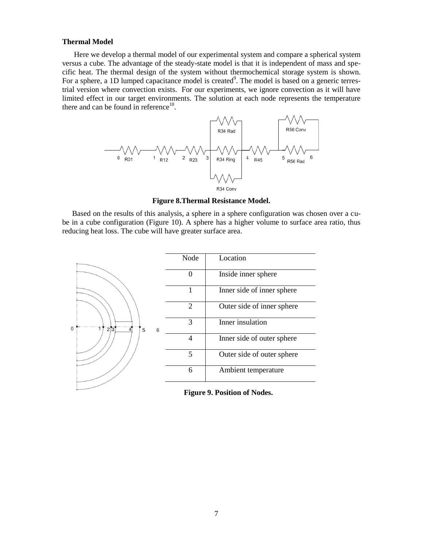## **Thermal Model**

Here we develop a thermal model of our experimental system and compare a spherical system versus a cube. The advantage of the steady-state model is that it is independent of mass and specific heat. The thermal design of the system without thermochemical storage system is shown. For a sphere, a 1D lumped capacitance model is created<sup>9</sup>. The model is based on a generic terrestrial version where convection exists. For our experiments, we ignore convection as it will have limited effect in our target environments. The solution at each node represents the temperature there and can be found in reference $10$ .



**Figure 8.Thermal Resistance Model.**

Based on the results of this analysis, a sphere in a sphere configuration was chosen over a cube in a cube configuration (Figure 10). A sphere has a higher volume to surface area ratio, thus reducing heat loss. The cube will have greater surface area.



**Figure 9. Position of Nodes.**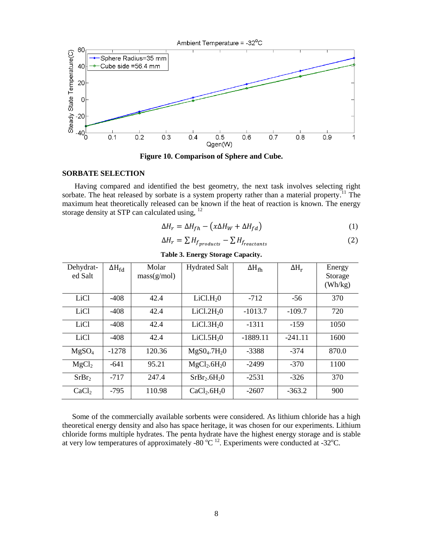

**Figure 10. Comparison of Sphere and Cube.**

#### **SORBATE SELECTION**

Having compared and identified the best geometry, the next task involves selecting right sorbate. The heat released by sorbate is a system property rather than a material property.<sup>11</sup> The maximum heat theoretically released can be known if the heat of reaction is known. The energy storage density at STP can calculated using, <sup>12</sup>

$$
\Delta H_r = \Delta H_{fh} - \left(x\Delta H_W + \Delta H_{fd}\right) \tag{1}
$$

$$
\Delta H_r = \sum H_{f_{products}} - \sum H_{freatestants}
$$
 (2)

| Dehydrat-<br>ed Salt | $\Delta H_{fd}$ | Molar<br>mass(g/mol) | <b>Hydrated Salt</b>                 | $\Delta H_{\text{fh}}$ | $\Delta H_r$ | Energy<br>Storage<br>(Wh/kg) |
|----------------------|-----------------|----------------------|--------------------------------------|------------------------|--------------|------------------------------|
| LiC <sub>1</sub>     | $-408$          | 42.4                 | LiCl.H <sub>2</sub> 0                | $-712$                 | $-56$        | 370                          |
| LiCl                 | $-408$          | 42.4                 | LiCl.2H <sub>2</sub> 0               | $-1013.7$              | $-109.7$     | 720                          |
| LiCl                 | $-408$          | 42.4                 | LiCl.3H <sub>2</sub> 0               | $-1311$                | $-159$       | 1050                         |
| LiCl                 | $-408$          | 42.4                 | LiCl.5H <sub>2</sub> 0               | $-1889.11$             | $-241.11$    | 1600                         |
| MgSO <sub>4</sub>    | $-1278$         | 120.36               | MgS0 <sub>4</sub> .7H <sub>2</sub> 0 | $-3388$                | $-374$       | 870.0                        |
| MgCl <sub>2</sub>    | $-641$          | 95.21                | MgCl <sub>2</sub> .6H <sub>2</sub> 0 | $-2499$                | $-370$       | 1100                         |
| SrBr <sub>2</sub>    | $-717$          | 247.4                | SrBr <sub>2</sub> .6H <sub>2</sub> O | $-2531$                | $-326$       | 370                          |
| CaCl <sub>2</sub>    | $-795$          | 110.98               | CaCl <sub>2</sub> .6H <sub>2</sub> O | $-2607$                | $-363.2$     | 900                          |

**Table 3. Energy Storage Capacity.**

Some of the commercially available sorbents were considered. As lithium chloride has a high theoretical energy density and also has space heritage, it was chosen for our experiments. Lithium chloride forms multiple hydrates. The penta hydrate have the highest energy storage and is stable at very low temperatures of approximately -80  $^{\circ}$ C <sup>12</sup>. Experiments were conducted at -32 $^{\circ}$ C.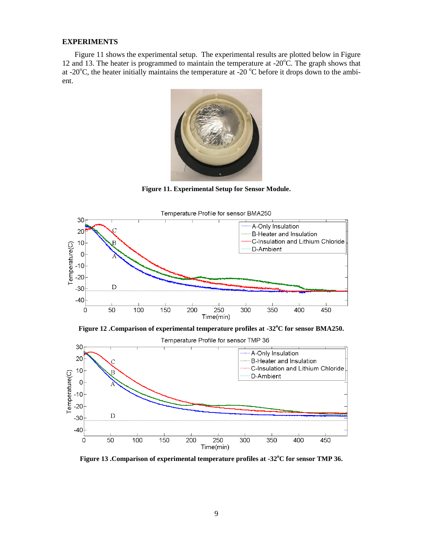## **EXPERIMENTS**

Figure 11 shows the experimental setup. The experimental results are plotted below in Figure 12 and 13. The heater is programmed to maintain the temperature at  $-20^{\circ}$ C. The graph shows that at -20 $^{\circ}$ C, the heater initially maintains the temperature at -20 $^{\circ}$ C before it drops down to the ambient.



**Figure 11. Experimental Setup for Sensor Module.**



**Figure 12 .Comparison of experimental temperature profiles at -32<sup>o</sup>C for sensor BMA250.**

Temperature Profile for sensor TMP 36



**Figure 13 .Comparison of experimental temperature profiles at -32<sup>o</sup>C for sensor TMP 36.**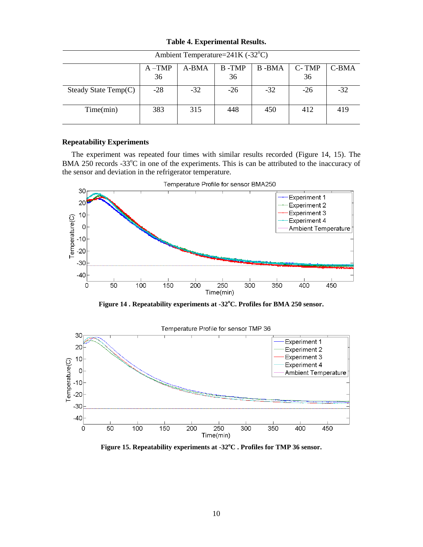| Ambient Temperature=241K (-32°C) |           |       |       |       |       |       |  |  |
|----------------------------------|-----------|-------|-------|-------|-------|-------|--|--|
|                                  | $A - TMP$ | A-BMA | B-TMP | B-BMA | C-TMP | C-BMA |  |  |
|                                  | 36        |       | 36    |       | 36    |       |  |  |
| Steady State $Temp(C)$           | $-28$     | $-32$ | $-26$ | $-32$ | $-26$ | $-32$ |  |  |
|                                  |           |       |       |       |       |       |  |  |
| Time(min)                        | 383       | 315   | 448   | 450   | 412   | 419   |  |  |
|                                  |           |       |       |       |       |       |  |  |

**Table 4. Experimental Results.**

## **Repeatability Experiments**

The experiment was repeated four times with similar results recorded (Figure 14, 15). The BMA 250 records  $-33^{\circ}$ C in one of the experiments. This is can be attributed to the inaccuracy of the sensor and deviation in the refrigerator temperature.



**Figure 14 . Repeatability experiments at -32<sup>o</sup>C. Profiles for BMA 250 sensor.**



**Figure 15. Repeatability experiments at -32<sup>o</sup>C . Profiles for TMP 36 sensor.**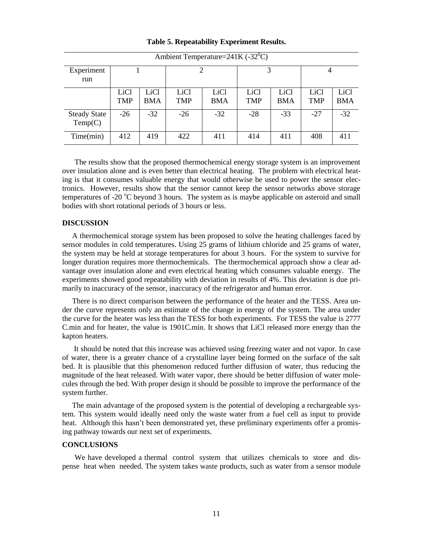| Ambient Temperature= $241K (-32^0C)$ |                           |                                |                                |                    |                    |                    |                    |                    |
|--------------------------------------|---------------------------|--------------------------------|--------------------------------|--------------------|--------------------|--------------------|--------------------|--------------------|
| Experiment<br>run                    |                           |                                |                                |                    | 3                  |                    | $\overline{4}$     |                    |
|                                      | <b>LiCl</b><br><b>TMP</b> | LiC <sub>1</sub><br><b>BMA</b> | LiC <sub>1</sub><br><b>TMP</b> | LiCl<br><b>BMA</b> | LiCl<br><b>TMP</b> | LiCl<br><b>BMA</b> | LiC1<br><b>TMP</b> | LiCl<br><b>BMA</b> |
| <b>Steady State</b><br>Temp(C)       | $-26$                     | $-32$                          | $-26$                          | $-32$              | $-28$              | $-33$              | $-27$              | $-32$              |
| Time(min)                            | 412                       | 419                            | 422                            | 411                | 414                | 411                | 408                | 411                |

**Table 5. Repeatability Experiment Results.**

The results show that the proposed thermochemical energy storage system is an improvement over insulation alone and is even better than electrical heating. The problem with electrical heating is that it consumes valuable energy that would otherwise be used to power the sensor electronics. However, results show that the sensor cannot keep the sensor networks above storage temperatures of -20  $^{\circ}$ C beyond 3 hours. The system as is maybe applicable on asteroid and small bodies with short rotational periods of 3 hours or less.

#### **DISCUSSION**

A thermochemical storage system has been proposed to solve the heating challenges faced by sensor modules in cold temperatures. Using 25 grams of lithium chloride and 25 grams of water, the system may be held at storage temperatures for about 3 hours. For the system to survive for longer duration requires more thermochemicals. The thermochemical approach show a clear advantage over insulation alone and even electrical heating which consumes valuable energy. The experiments showed good repeatability with deviation in results of 4%. This deviation is due primarily to inaccuracy of the sensor, inaccuracy of the refrigerator and human error.

There is no direct comparison between the performance of the heater and the TESS. Area under the curve represents only an estimate of the change in energy of the system. The area under the curve for the heater was less than the TESS for both experiments. For TESS the value is 2777 C.min and for heater, the value is 1901C.min. It shows that LiCl released more energy than the kapton heaters.

It should be noted that this increase was achieved using freezing water and not vapor. In case of water, there is a greater chance of a crystalline layer being formed on the surface of the salt bed. It is plausible that this phenomenon reduced further diffusion of water, thus reducing the magnitude of the heat released. With water vapor, there should be better diffusion of water molecules through the bed. With proper design it should be possible to improve the performance of the system further.

The main advantage of the proposed system is the potential of developing a rechargeable system. This system would ideally need only the waste water from a fuel cell as input to provide heat. Although this hasn't been demonstrated yet, these preliminary experiments offer a promising pathway towards our next set of experiments.

# **CONCLUSIONS**

We have developed a thermal control system that utilizes chemicals to store and dispense heat when needed. The system takes waste products, such as water from a sensor module